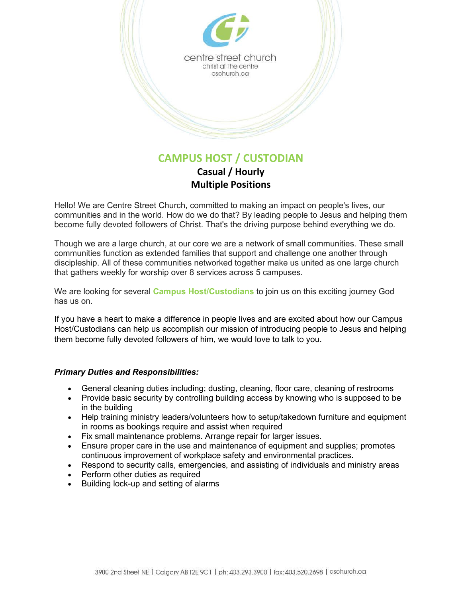

**Casual / Hourly Multiple Positions**

Hello! We are Centre Street Church, committed to making an impact on people's lives, our communities and in the world. How do we do that? By leading people to Jesus and helping them become fully devoted followers of Christ. That's the driving purpose behind everything we do.

Though we are a large church, at our core we are a network of small communities. These small communities function as extended families that support and challenge one another through discipleship. All of these communities networked together make us united as one large church that gathers weekly for worship over 8 services across 5 campuses.

We are looking for several **Campus Host/Custodians** to join us on this exciting journey God has us on.

If you have a heart to make a difference in people lives and are excited about how our Campus Host/Custodians can help us accomplish our mission of introducing people to Jesus and helping them become fully devoted followers of him, we would love to talk to you.

## *Primary Duties and Responsibilities:*

- General cleaning duties including; dusting, cleaning, floor care, cleaning of restrooms
- Provide basic security by controlling building access by knowing who is supposed to be in the building
- Help training ministry leaders/volunteers how to setup/takedown furniture and equipment in rooms as bookings require and assist when required
- Fix small maintenance problems. Arrange repair for larger issues.
- Ensure proper care in the use and maintenance of equipment and supplies; promotes continuous improvement of workplace safety and environmental practices.
- Respond to security calls, emergencies, and assisting of individuals and ministry areas
- Perform other duties as required
- Building lock-up and setting of alarms